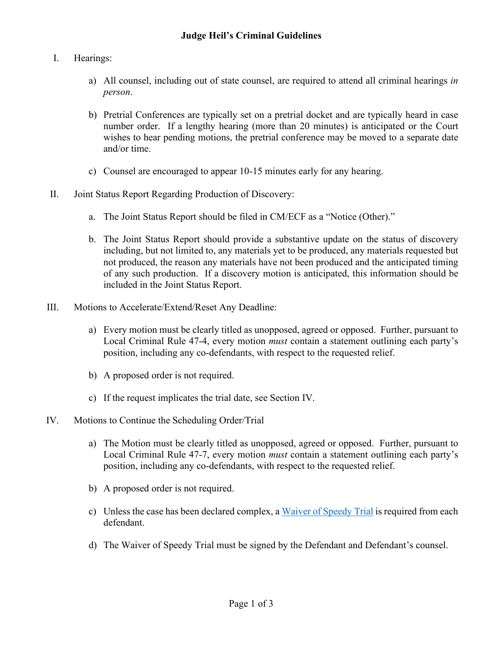## I. Hearings:

- a) All counsel, including out of state counsel, are required to attend all criminal hearings *in person*.
- b) Pretrial Conferences are typically set on a pretrial docket and are typically heard in case number order. If a lengthy hearing (more than 20 minutes) is anticipated or the Court wishes to hear pending motions, the pretrial conference may be moved to a separate date and/or time.
- c) Counsel are encouraged to appear 10-15 minutes early for any hearing.
- II. Joint Status Report Regarding Production of Discovery:
	- a. The Joint Status Report should be filed in CM/ECF as a "Notice (Other)."
	- b. The Joint Status Report should provide a substantive update on the status of discovery including, but not limited to, any materials yet to be produced, any materials requested but not produced, the reason any materials have not been produced and the anticipated timing of any such production. If a discovery motion is anticipated, this information should be included in the Joint Status Report.
- III. Motions to Accelerate/Extend/Reset Any Deadline:
	- a) Every motion must be clearly titled as unopposed, agreed or opposed. Further, pursuant to Local Criminal Rule 47-4, every motion *must* contain a statement outlining each party's position, including any co-defendants, with respect to the requested relief.
	- b) A proposed order is not required.
	- c) If the request implicates the trial date, see Section IV.

## IV. Motions to Continue the Scheduling Order/Trial

- a) The Motion must be clearly titled as unopposed, agreed or opposed. Further, pursuant to Local Criminal Rule 47-7, every motion *must* contain a statement outlining each party's position, including any co-defendants, with respect to the requested relief.
- b) A proposed order is not required.
- c) Unless the case has been declared complex, a [Waiver of Speedy Trial](https://www.oknd.uscourts.gov/forms/criminal) is required from each defendant.
- d) The Waiver of Speedy Trial must be signed by the Defendant and Defendant's counsel.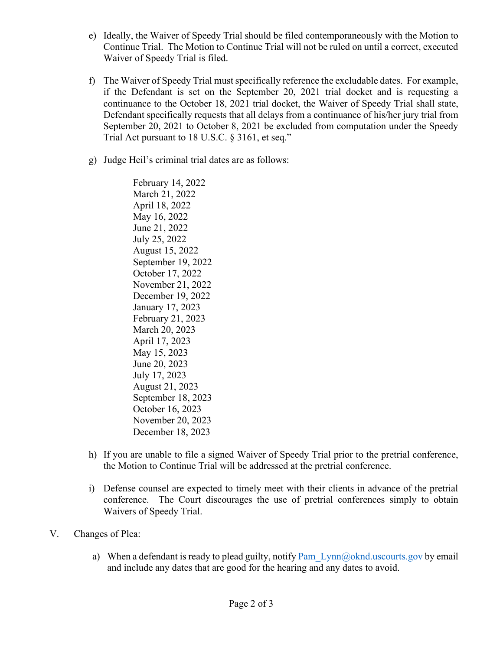- e) Ideally, the Waiver of Speedy Trial should be filed contemporaneously with the Motion to Continue Trial. The Motion to Continue Trial will not be ruled on until a correct, executed Waiver of Speedy Trial is filed.
- f) The Waiver of Speedy Trial must specifically reference the excludable dates. For example, if the Defendant is set on the September 20, 2021 trial docket and is requesting a continuance to the October 18, 2021 trial docket, the Waiver of Speedy Trial shall state, Defendant specifically requests that all delays from a continuance of his/her jury trial from September 20, 2021 to October 8, 2021 be excluded from computation under the Speedy Trial Act pursuant to 18 U.S.C. § 3161, et seq."
- g) Judge Heil's criminal trial dates are as follows:

February 14, 2022 March 21, 2022 April 18, 2022 May 16, 2022 June 21, 2022 July 25, 2022 August 15, 2022 September 19, 2022 October 17, 2022 November 21, 2022 December 19, 2022 January 17, 2023 February 21, 2023 March 20, 2023 April 17, 2023 May 15, 2023 June 20, 2023 July 17, 2023 August 21, 2023 September 18, 2023 October 16, 2023 November 20, 2023 December 18, 2023

- h) If you are unable to file a signed Waiver of Speedy Trial prior to the pretrial conference, the Motion to Continue Trial will be addressed at the pretrial conference.
- i) Defense counsel are expected to timely meet with their clients in advance of the pretrial conference. The Court discourages the use of pretrial conferences simply to obtain Waivers of Speedy Trial.
- V. Changes of Plea:
	- a) When a defendant is ready to plead guilty, notify Pam  $Lym@oknd.uscourts.gov$  by email and include any dates that are good for the hearing and any dates to avoid.